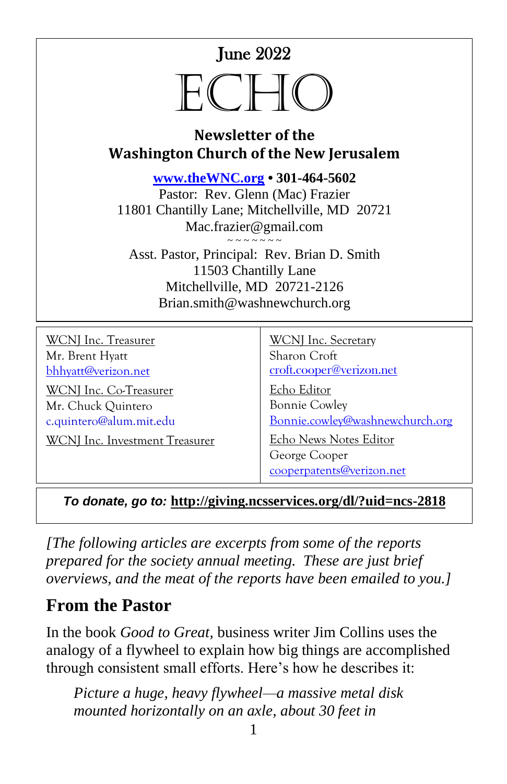June 2022

# $H$

#### **Newsletter of the Washington Church of the New Jerusalem**

**[www.theWNC.org](http://www.thewnc.org/) • 301-464-5602** Pastor: Rev. Glenn (Mac) Frazier 11801 Chantilly Lane; Mitchellville, MD 20721 Mac.frazier@gmail.com  $\sim$   $\sim$   $\sim$   $\sim$   $\sim$   $\sim$   $\sim$ Asst. Pastor, Principal: Rev. Brian D. Smith 11503 Chantilly Lane Mitchellville, MD 20721-2126 Brian.smith@washnewchurch.org

| <b>WCNJ</b> Inc. Treasurer            | <b>WCNJ</b> Inc. Secretary                                           |
|---------------------------------------|----------------------------------------------------------------------|
| Mr. Brent Hyatt                       | Sharon Croft                                                         |
| bhhyatt@verizon.net                   | croft.cooper@verizon.net                                             |
| <b>WCNJ</b> Inc. Co-Treasurer         | Echo Editor                                                          |
| Mr. Chuck Quintero                    | <b>Bonnie Cowley</b>                                                 |
| c.quintero@alum.mit.edu               | Bonnie.cowley@washnewchurch.org                                      |
| <b>WCNJ</b> Inc. Investment Treasurer | Echo News Notes Editor<br>George Cooper<br>cooperpatents@verizon.net |

*To donate, go to:* **<http://giving.ncsservices.org/dl/?uid=ncs-2818>**

*[The following articles are excerpts from some of the reports prepared for the society annual meeting. These are just brief overviews, and the meat of the reports have been emailed to you.]*

# **From the Pastor**

In the book *Good to Great*, business writer Jim Collins uses the analogy of a flywheel to explain how big things are accomplished through consistent small efforts. Here's how he describes it:

*Picture a huge, heavy flywheel—a massive metal disk mounted horizontally on an axle, about 30 feet in*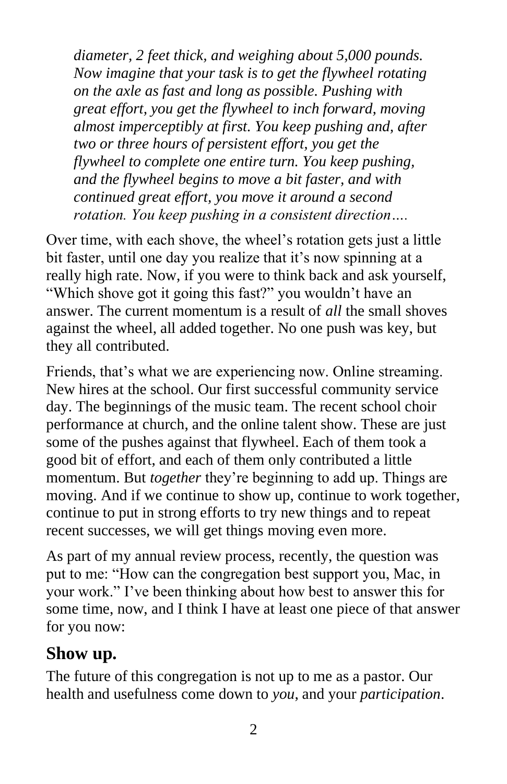*diameter, 2 feet thick, and weighing about 5,000 pounds. Now imagine that your task is to get the flywheel rotating on the axle as fast and long as possible. Pushing with great effort, you get the flywheel to inch forward, moving almost imperceptibly at first. You keep pushing and, after two or three hours of persistent effort, you get the flywheel to complete one entire turn. You keep pushing, and the flywheel begins to move a bit faster, and with continued great effort, you move it around a second rotation. You keep pushing in a consistent direction….*

Over time, with each shove, the wheel's rotation gets just a little bit faster, until one day you realize that it's now spinning at a really high rate. Now, if you were to think back and ask yourself, "Which shove got it going this fast?" you wouldn't have an answer. The current momentum is a result of *all* the small shoves against the wheel, all added together. No one push was key, but they all contributed.

Friends, that's what we are experiencing now. Online streaming. New hires at the school. Our first successful community service day. The beginnings of the music team. The recent school choir performance at church, and the online talent show. These are just some of the pushes against that flywheel. Each of them took a good bit of effort, and each of them only contributed a little momentum. But *together* they're beginning to add up. Things are moving. And if we continue to show up, continue to work together, continue to put in strong efforts to try new things and to repeat recent successes, we will get things moving even more.

As part of my annual review process, recently, the question was put to me: "How can the congregation best support you, Mac, in your work." I've been thinking about how best to answer this for some time, now, and I think I have at least one piece of that answer for you now:

# **Show up.**

The future of this congregation is not up to me as a pastor. Our health and usefulness come down to *you*, and your *participation*.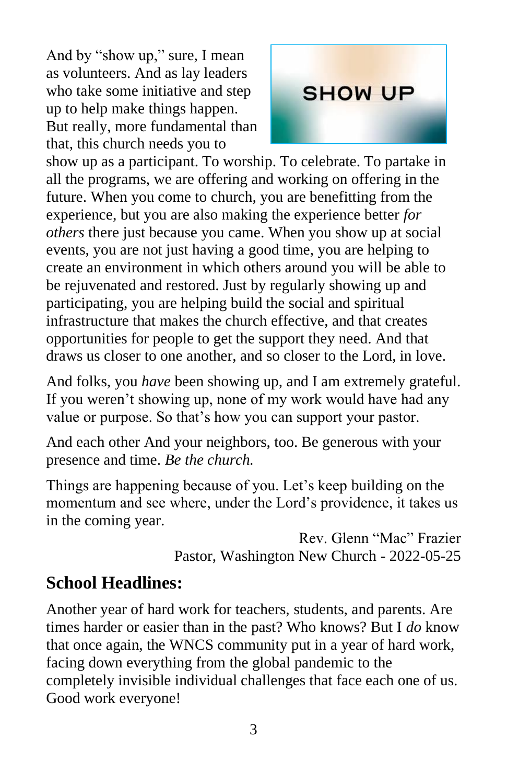And by "show up," sure, I mean as volunteers. And as lay leaders who take some initiative and step up to help make things happen. But really, more fundamental than that, this church needs you to



show up as a participant. To worship. To celebrate. To partake in all the programs, we are offering and working on offering in the future. When you come to church, you are benefitting from the experience, but you are also making the experience better *for others* there just because you came. When you show up at social events, you are not just having a good time, you are helping to create an environment in which others around you will be able to be rejuvenated and restored. Just by regularly showing up and participating, you are helping build the social and spiritual infrastructure that makes the church effective, and that creates opportunities for people to get the support they need. And that draws us closer to one another, and so closer to the Lord, in love.

And folks, you *have* been showing up, and I am extremely grateful. If you weren't showing up, none of my work would have had any value or purpose. So that's how you can support your pastor.

And each other And your neighbors, too. Be generous with your presence and time. *Be the church.*

Things are happening because of you. Let's keep building on the momentum and see where, under the Lord's providence, it takes us in the coming year.

> Rev. Glenn "Mac" Frazier Pastor, Washington New Church - 2022-05-25

# **School Headlines:**

Another year of hard work for teachers, students, and parents. Are times harder or easier than in the past? Who knows? But I *do* know that once again, the WNCS community put in a year of hard work, facing down everything from the global pandemic to the completely invisible individual challenges that face each one of us. Good work everyone!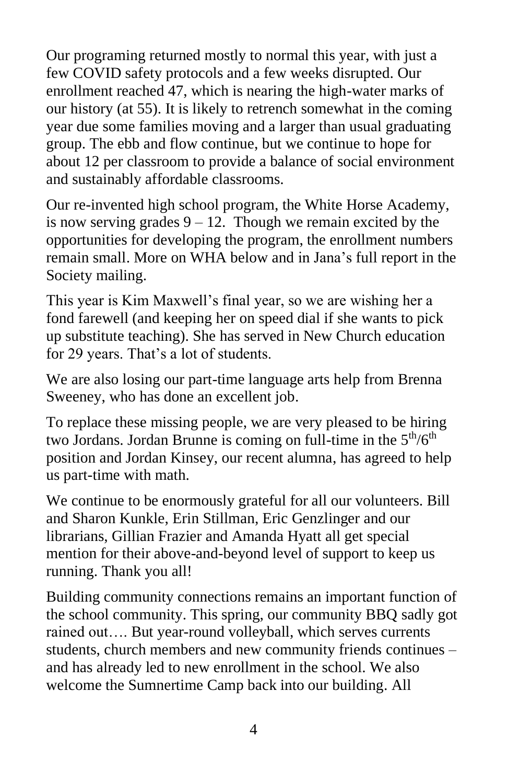Our programing returned mostly to normal this year, with just a few COVID safety protocols and a few weeks disrupted. Our enrollment reached 47, which is nearing the high-water marks of our history (at 55). It is likely to retrench somewhat in the coming year due some families moving and a larger than usual graduating group. The ebb and flow continue, but we continue to hope for about 12 per classroom to provide a balance of social environment and sustainably affordable classrooms.

Our re-invented high school program, the White Horse Academy, is now serving grades  $9 - 12$ . Though we remain excited by the opportunities for developing the program, the enrollment numbers remain small. More on WHA below and in Jana's full report in the Society mailing.

This year is Kim Maxwell's final year, so we are wishing her a fond farewell (and keeping her on speed dial if she wants to pick up substitute teaching). She has served in New Church education for 29 years. That's a lot of students.

We are also losing our part-time language arts help from Brenna Sweeney, who has done an excellent job.

To replace these missing people, we are very pleased to be hiring two Jordans. Jordan Brunne is coming on full-time in the  $5<sup>th</sup>/6<sup>th</sup>$ position and Jordan Kinsey, our recent alumna, has agreed to help us part-time with math.

We continue to be enormously grateful for all our volunteers. Bill and Sharon Kunkle, Erin Stillman, Eric Genzlinger and our librarians, Gillian Frazier and Amanda Hyatt all get special mention for their above-and-beyond level of support to keep us running. Thank you all!

Building community connections remains an important function of the school community. This spring, our community BBQ sadly got rained out…. But year-round volleyball, which serves currents students, church members and new community friends continues – and has already led to new enrollment in the school. We also welcome the Sumnertime Camp back into our building. All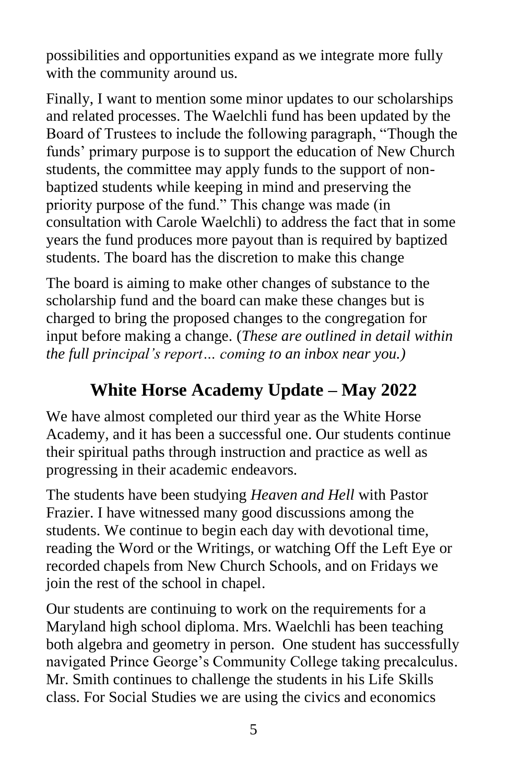possibilities and opportunities expand as we integrate more fully with the community around us.

Finally, I want to mention some minor updates to our scholarships and related processes. The Waelchli fund has been updated by the Board of Trustees to include the following paragraph, "Though the funds' primary purpose is to support the education of New Church students, the committee may apply funds to the support of nonbaptized students while keeping in mind and preserving the priority purpose of the fund." This change was made (in consultation with Carole Waelchli) to address the fact that in some years the fund produces more payout than is required by baptized students. The board has the discretion to make this change

The board is aiming to make other changes of substance to the scholarship fund and the board can make these changes but is charged to bring the proposed changes to the congregation for input before making a change. (*These are outlined in detail within the full principal's report… coming to an inbox near you.)*

# **White Horse Academy Update – May 2022**

We have almost completed our third year as the White Horse Academy, and it has been a successful one. Our students continue their spiritual paths through instruction and practice as well as progressing in their academic endeavors.

The students have been studying *Heaven and Hell* with Pastor Frazier. I have witnessed many good discussions among the students. We continue to begin each day with devotional time, reading the Word or the Writings, or watching Off the Left Eye or recorded chapels from New Church Schools, and on Fridays we join the rest of the school in chapel.

Our students are continuing to work on the requirements for a Maryland high school diploma. Mrs. Waelchli has been teaching both algebra and geometry in person. One student has successfully navigated Prince George's Community College taking precalculus. Mr. Smith continues to challenge the students in his Life Skills class. For Social Studies we are using the civics and economics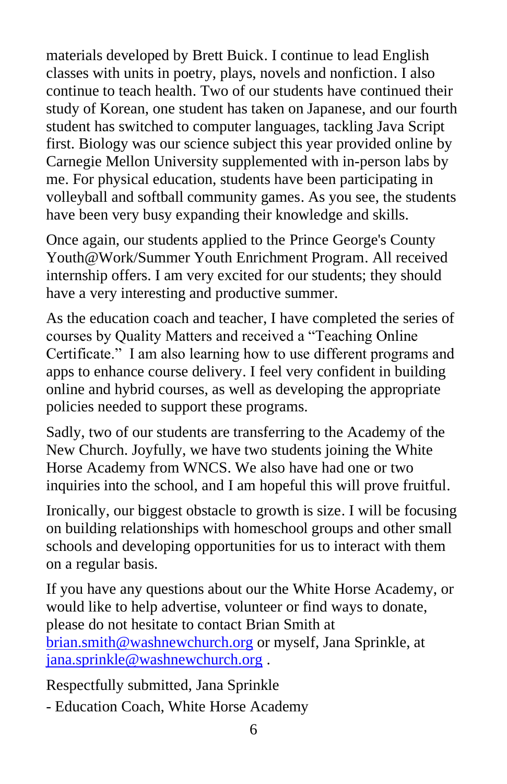materials developed by Brett Buick. I continue to lead English classes with units in poetry, plays, novels and nonfiction. I also continue to teach health. Two of our students have continued their study of Korean, one student has taken on Japanese, and our fourth student has switched to computer languages, tackling Java Script first. Biology was our science subject this year provided online by Carnegie Mellon University supplemented with in-person labs by me. For physical education, students have been participating in volleyball and softball community games. As you see, the students have been very busy expanding their knowledge and skills.

Once again, our students applied to the Prince George's County Youth@Work/Summer Youth Enrichment Program. All received internship offers. I am very excited for our students; they should have a very interesting and productive summer.

As the education coach and teacher, I have completed the series of courses by Quality Matters and received a "Teaching Online Certificate." I am also learning how to use different programs and apps to enhance course delivery. I feel very confident in building online and hybrid courses, as well as developing the appropriate policies needed to support these programs.

Sadly, two of our students are transferring to the Academy of the New Church. Joyfully, we have two students joining the White Horse Academy from WNCS. We also have had one or two inquiries into the school, and I am hopeful this will prove fruitful.

Ironically, our biggest obstacle to growth is size. I will be focusing on building relationships with homeschool groups and other small schools and developing opportunities for us to interact with them on a regular basis.

If you have any questions about our the White Horse Academy, or would like to help advertise, volunteer or find ways to donate, please do not hesitate to contact Brian Smith at [brian.smith@washnewchurch.org](mailto:brian.smith@washnewchurch.org) or myself, Jana Sprinkle, at [jana.sprinkle@washnewchurch.org](mailto:jana.sprinkle@washnewchurch.org) .

Respectfully submitted, Jana Sprinkle

- Education Coach, White Horse Academy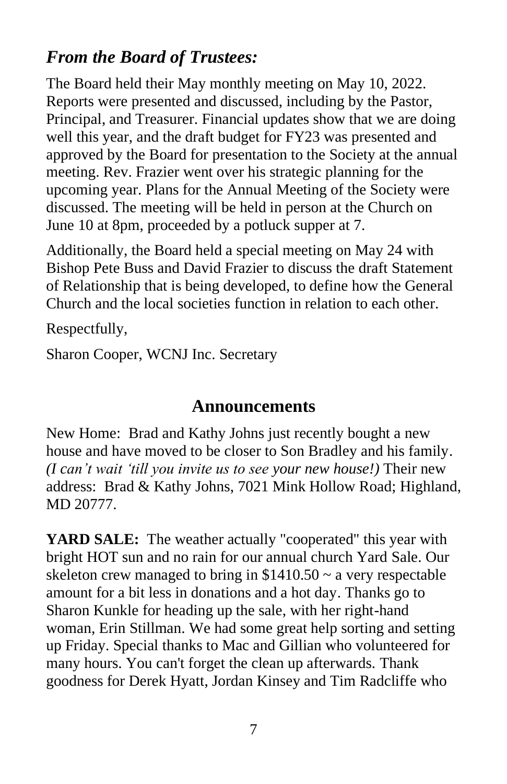# *From the Board of Trustees:*

The Board held their May monthly meeting on May 10, 2022. Reports were presented and discussed, including by the Pastor, Principal, and Treasurer. Financial updates show that we are doing well this year, and the draft budget for FY23 was presented and approved by the Board for presentation to the Society at the annual meeting. Rev. Frazier went over his strategic planning for the upcoming year. Plans for the Annual Meeting of the Society were discussed. The meeting will be held in person at the Church on June 10 at 8pm, proceeded by a potluck supper at 7.

Additionally, the Board held a special meeting on May 24 with Bishop Pete Buss and David Frazier to discuss the draft Statement of Relationship that is being developed, to define how the General Church and the local societies function in relation to each other.

Respectfully,

Sharon Cooper, WCNJ Inc. Secretary

#### **Announcements**

New Home: Brad and Kathy Johns just recently bought a new house and have moved to be closer to Son Bradley and his family. *(I can't wait 'till you invite us to see your new house!)* Their new address: Brad & Kathy Johns, 7021 Mink Hollow Road; Highland, MD 20777.

**YARD SALE:** The weather actually "cooperated" this year with bright HOT sun and no rain for our annual church Yard Sale. Our skeleton crew managed to bring in  $$1410.50 \sim a$  very respectable amount for a bit less in donations and a hot day. Thanks go to Sharon Kunkle for heading up the sale, with her right-hand woman, Erin Stillman. We had some great help sorting and setting up Friday. Special thanks to Mac and Gillian who volunteered for many hours. You can't forget the clean up afterwards. Thank goodness for Derek Hyatt, Jordan Kinsey and Tim Radcliffe who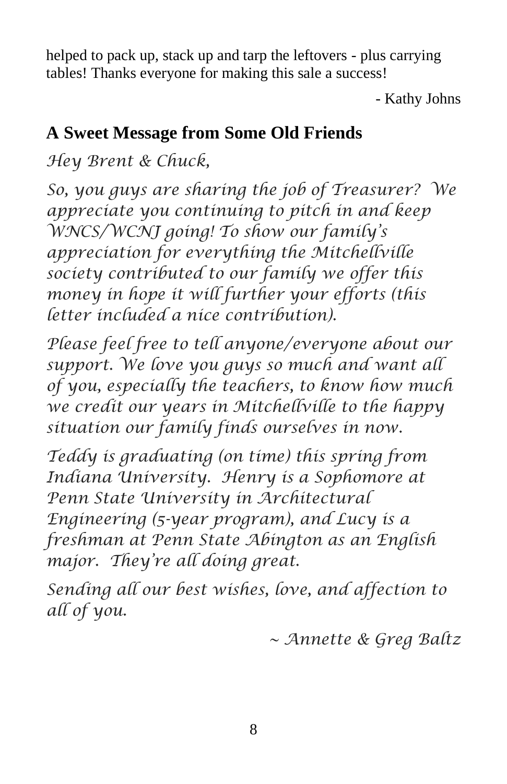helped to pack up, stack up and tarp the leftovers - plus carrying tables! Thanks everyone for making this sale a success!

- Kathy Johns

# **A Sweet Message from Some Old Friends**

*Hey Brent & Chuck,*

*So, you guys are sharing the job of Treasurer? We appreciate you continuing to pitch in and keep WNCS/WCNJ going! To show our family's appreciation for everything the Mitchellville society contributed to our family we offer this money in hope it will further your efforts (this letter included a nice contribution).* 

*Please feel free to tell anyone/everyone about our support. We love you guys so much and want all of you, especially the teachers, to know how much we credit our years in Mitchellville to the happy situation our family finds ourselves in now.*

*Teddy is graduating (on time) this spring from Indiana University. Henry is a Sophomore at Penn State University in Architectural Engineering (5-year program), and Lucy is a freshman at Penn State Abington as an English major. They're all doing great.*

*Sending all our best wishes, love, and affection to all of you.*

*~ Annette & Greg Baltz*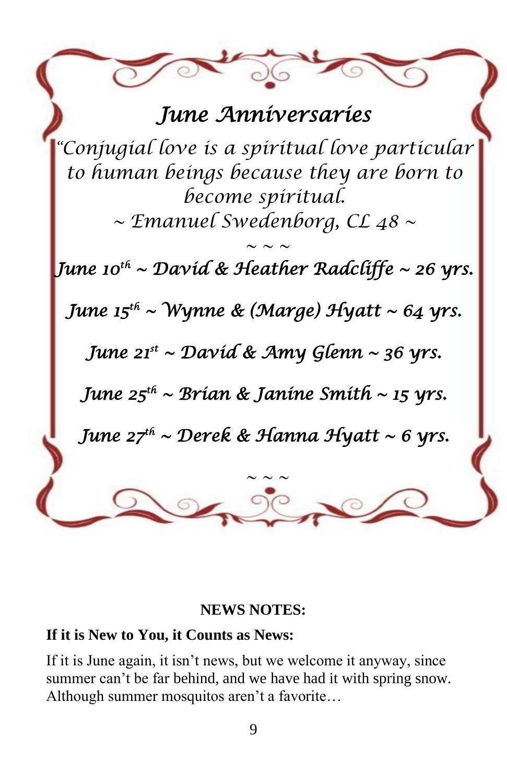# *June Anniversaries*

*"Conjugial love is a spiritual love particular to human beings because they are born to become spiritual. ~ Emanuel Swedenborg, CL 48 ~*

 $\sim$  ~ ~ *June 10th ~ David & Heather Radcliffe ~ 26 yrs. June 15th ~ Wynne & (Marge) Hyatt ~ 64 yrs. June 21st ~ David & Amy Glenn ~ 36 yrs. June 25th ~ Brian & Janine Smith ~ 15 yrs. June 27th ~ Derek & Hanna Hyatt ~ 6 yrs. ~ ~ ~*

#### **NEWS NOTES:**

#### **If it is New to You, it Counts as News:**

If it is June again, it isn't news, but we welcome it anyway, since summer can't be far behind, and we have had it with spring snow. Although summer mosquitos aren't a favorite…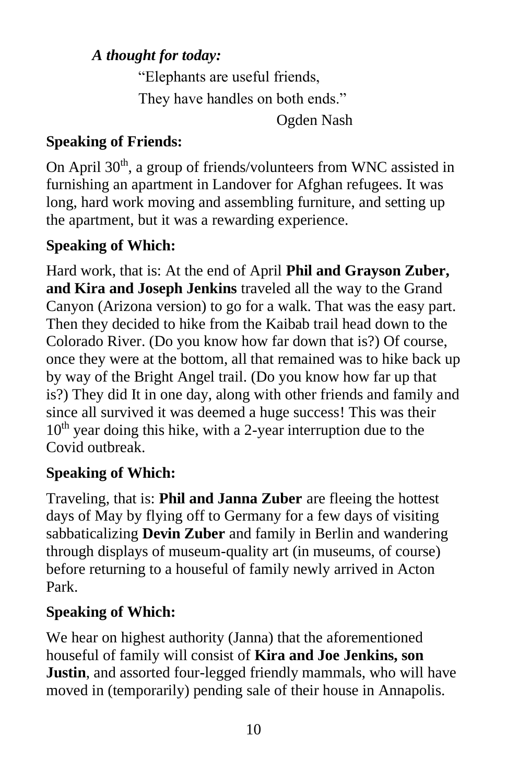#### *A thought for today:*

"Elephants are useful friends, They have handles on both ends."

Ogden Nash

#### **Speaking of Friends:**

On April 30<sup>th</sup>, a group of friends/volunteers from WNC assisted in furnishing an apartment in Landover for Afghan refugees. It was long, hard work moving and assembling furniture, and setting up the apartment, but it was a rewarding experience.

## **Speaking of Which:**

Hard work, that is: At the end of April **Phil and Grayson Zuber, and Kira and Joseph Jenkins** traveled all the way to the Grand Canyon (Arizona version) to go for a walk. That was the easy part. Then they decided to hike from the Kaibab trail head down to the Colorado River. (Do you know how far down that is?) Of course, once they were at the bottom, all that remained was to hike back up by way of the Bright Angel trail. (Do you know how far up that is?) They did It in one day, along with other friends and family and since all survived it was deemed a huge success! This was their  $10<sup>th</sup>$  year doing this hike, with a 2-year interruption due to the Covid outbreak.

#### **Speaking of Which:**

Traveling, that is: **Phil and Janna Zuber** are fleeing the hottest days of May by flying off to Germany for a few days of visiting sabbaticalizing **Devin Zuber** and family in Berlin and wandering through displays of museum-quality art (in museums, of course) before returning to a houseful of family newly arrived in Acton Park.

#### **Speaking of Which:**

We hear on highest authority (Janna) that the aforementioned houseful of family will consist of **Kira and Joe Jenkins, son Justin**, and assorted four-legged friendly mammals, who will have moved in (temporarily) pending sale of their house in Annapolis.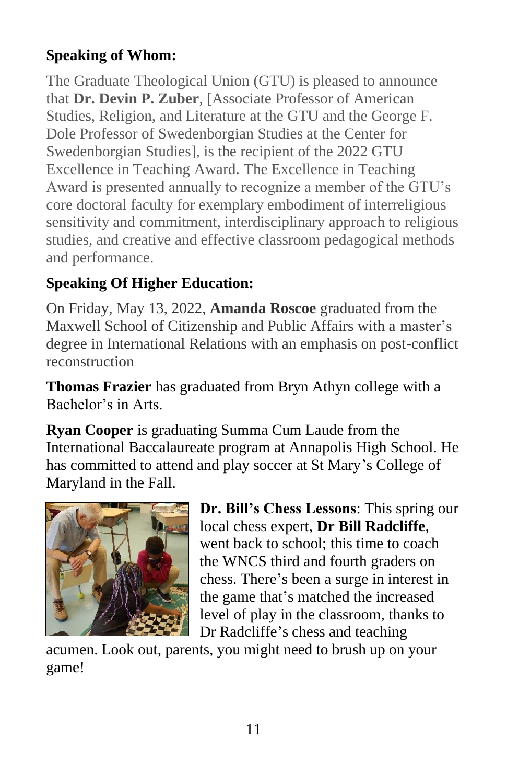#### **Speaking of Whom:**

The Graduate Theological Union (GTU) is pleased to announce that **Dr. Devin P. Zuber**, [Associate Professor of American Studies, Religion, and Literature at the GTU and the George F. Dole Professor of Swedenborgian Studies at the Center for Swedenborgian Studies], is the recipient of the 2022 GTU Excellence in Teaching Award. The Excellence in Teaching Award is presented annually to recognize a member of the GTU's core doctoral faculty for exemplary embodiment of interreligious sensitivity and commitment, interdisciplinary approach to religious studies, and creative and effective classroom pedagogical methods and performance.

## **Speaking Of Higher Education:**

On Friday, May 13, 2022, **Amanda Roscoe** graduated from the Maxwell School of Citizenship and Public Affairs with a master's degree in International Relations with an emphasis on post-conflict reconstruction

**Thomas Frazier** has graduated from Bryn Athyn college with a Bachelor's in Arts.

**Ryan Cooper** is graduating Summa Cum Laude from the International Baccalaureate program at Annapolis High School. He has committed to attend and play soccer at St Mary's College of Maryland in the Fall.



**Dr. Bill's Chess Lessons**: This spring our local chess expert, **Dr Bill Radcliffe**, went back to school; this time to coach the WNCS third and fourth graders on chess. There's been a surge in interest in the game that's matched the increased level of play in the classroom, thanks to Dr Radcliffe's chess and teaching

acumen. Look out, parents, you might need to brush up on your game!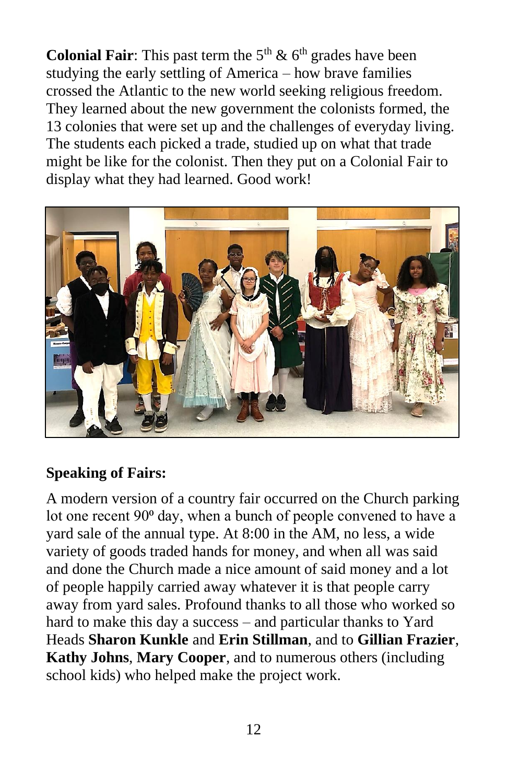**Colonial Fair**: This past term the  $5<sup>th</sup>$  &  $6<sup>th</sup>$  grades have been studying the early settling of America – how brave families crossed the Atlantic to the new world seeking religious freedom. They learned about the new government the colonists formed, the 13 colonies that were set up and the challenges of everyday living. The students each picked a trade, studied up on what that trade might be like for the colonist. Then they put on a Colonial Fair to display what they had learned. Good work!



#### **Speaking of Fairs:**

A modern version of a country fair occurred on the Church parking lot one recent 90<sup>°</sup> day, when a bunch of people convened to have a yard sale of the annual type. At 8:00 in the AM, no less, a wide variety of goods traded hands for money, and when all was said and done the Church made a nice amount of said money and a lot of people happily carried away whatever it is that people carry away from yard sales. Profound thanks to all those who worked so hard to make this day a success – and particular thanks to Yard Heads **Sharon Kunkle** and **Erin Stillman**, and to **Gillian Frazier**, **Kathy Johns**, **Mary Cooper**, and to numerous others (including school kids) who helped make the project work.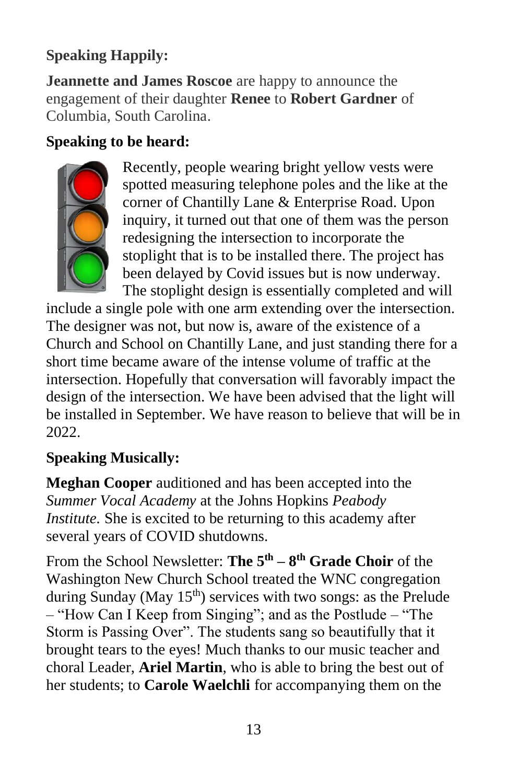#### **Speaking Happily:**

**Jeannette and James Roscoe** are happy to announce the engagement of their daughter **Renee** to **Robert Gardner** of Columbia, South Carolina.

#### **Speaking to be heard:**



Recently, people wearing bright yellow vests were spotted measuring telephone poles and the like at the corner of Chantilly Lane & Enterprise Road. Upon inquiry, it turned out that one of them was the person redesigning the intersection to incorporate the stoplight that is to be installed there. The project has been delayed by Covid issues but is now underway. The stoplight design is essentially completed and will

include a single pole with one arm extending over the intersection. The designer was not, but now is, aware of the existence of a Church and School on Chantilly Lane, and just standing there for a short time became aware of the intense volume of traffic at the intersection. Hopefully that conversation will favorably impact the design of the intersection. We have been advised that the light will be installed in September. We have reason to believe that will be in 2022.

#### **Speaking Musically:**

**Meghan Cooper** auditioned and has been accepted into the *Summer Vocal Academy* at the Johns Hopkins *Peabody Institute.* She is excited to be returning to this academy after several years of COVID shutdowns.

From the School Newsletter: **The 5th – 8 th Grade Choir** of the Washington New Church School treated the WNC congregation during Sunday (May  $15<sup>th</sup>$ ) services with two songs: as the Prelude – "How Can I Keep from Singing"; and as the Postlude – "The Storm is Passing Over". The students sang so beautifully that it brought tears to the eyes! Much thanks to our music teacher and choral Leader, **Ariel Martin**, who is able to bring the best out of her students; to **Carole Waelchli** for accompanying them on the